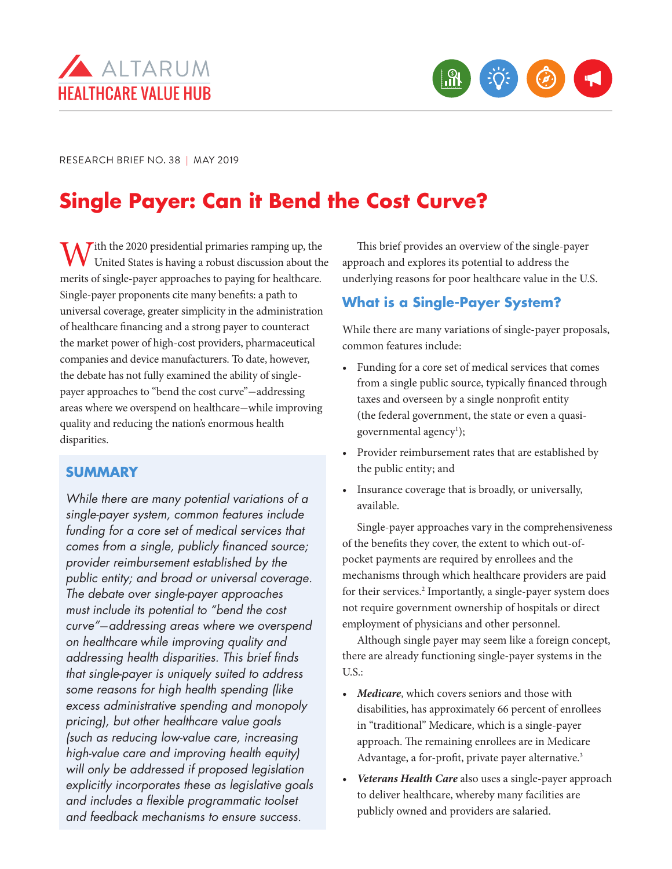



RESEARCH BRIEF NO. 38 | MAY 2019

# **Single Payer: Can it Bend the Cost Curve?**

 $M^{\text{th}}$  th the 2020 presidential primaries ramping up, the United States is having a robust discussion about the merits of single-payer approaches to paying for healthcare. Single-payer proponents cite many benefits: a path to universal coverage, greater simplicity in the administration of healthcare financing and a strong payer to counteract the market power of high-cost providers, pharmaceutical companies and device manufacturers. To date, however, the debate has not fully examined the ability of singlepayer approaches to "bend the cost curve"—addressing areas where we overspend on healthcare—while improving quality and reducing the nation's enormous health disparities.

## **SUMMARY**

*While there are many potential variations of a single-payer system, common features include funding for a core set of medical services that comes from a single, publicly financed source; provider reimbursement established by the public entity; and broad or universal coverage. The debate over single-payer approaches must include its potential to "bend the cost curve"*—*addressing areas where we overspend on healthcare while improving quality and addressing health disparities. This brief finds that single-payer is uniquely suited to address some reasons for high health spending (like excess administrative spending and monopoly pricing), but other healthcare value goals (such as reducing low-value care, increasing high-value care and improving health equity) will only be addressed if proposed legislation explicitly incorporates these as legislative goals and includes a flexible programmatic toolset and feedback mechanisms to ensure success.* 

This brief provides an overview of the single-payer approach and explores its potential to address the underlying reasons for poor healthcare value in the U.S.

## **What is a Single-Payer System?**

While there are many variations of single-payer proposals, common features include:

- Funding for a core set of medical services that comes from a single public source, typically financed through taxes and overseen by a single nonprofit entity (the federal government, the state or even a quasigovernmental agency<sup>1</sup>);
- Provider reimbursement rates that are established by the public entity; and
- Insurance coverage that is broadly, or universally, available.

Single-payer approaches vary in the comprehensiveness of the benefits they cover, the extent to which out-ofpocket payments are required by enrollees and the mechanisms through which healthcare providers are paid for their services.<sup>2</sup> Importantly, a single-payer system does not require government ownership of hospitals or direct employment of physicians and other personnel.

Although single payer may seem like a foreign concept, there are already functioning single-payer systems in the U.S.:

- *• Medicare*, which covers seniors and those with disabilities, has approximately 66 percent of enrollees in "traditional" Medicare, which is a single-payer approach. The remaining enrollees are in Medicare Advantage, a for-profit, private payer alternative.<sup>3</sup>
- *• Veterans Health Care* also uses a single-payer approach to deliver healthcare, whereby many facilities are publicly owned and providers are salaried.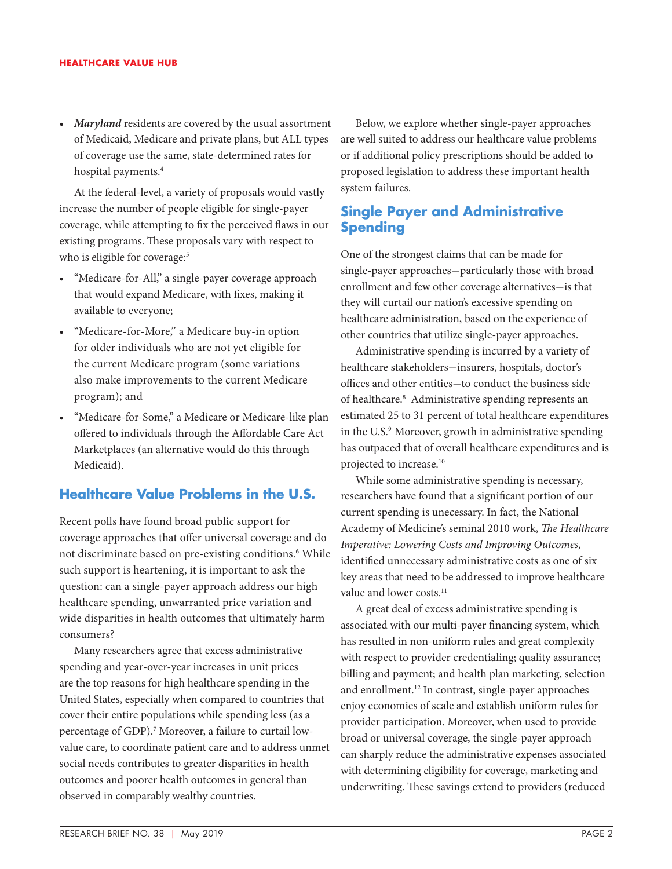*• Maryland* residents are covered by the usual assortment of Medicaid, Medicare and private plans, but ALL types of coverage use the same, state-determined rates for hospital payments.<sup>4</sup>

At the federal-level, a variety of proposals would vastly increase the number of people eligible for single-payer coverage, while attempting to fix the perceived flaws in our existing programs. These proposals vary with respect to who is eligible for coverage:<sup>5</sup>

- "Medicare-for-All," a single-payer coverage approach that would expand Medicare, with fixes, making it available to everyone;
- "Medicare-for-More," a Medicare buy-in option for older individuals who are not yet eligible for the current Medicare program (some variations also make improvements to the current Medicare program); and
- "Medicare-for-Some," a Medicare or Medicare-like plan offered to individuals through the Affordable Care Act Marketplaces (an alternative would do this through Medicaid).

## **Healthcare Value Problems in the U.S.**

Recent polls have found broad public support for coverage approaches that offer universal coverage and do not discriminate based on pre-existing conditions.<sup>6</sup> While such support is heartening, it is important to ask the question: can a single-payer approach address our high healthcare spending, unwarranted price variation and wide disparities in health outcomes that ultimately harm consumers?

Many researchers agree that excess administrative spending and year-over-year increases in unit prices are the top reasons for high healthcare spending in the United States, especially when compared to countries that cover their entire populations while spending less (as a percentage of GDP).7 Moreover, a failure to curtail lowvalue care, to coordinate patient care and to address unmet social needs contributes to greater disparities in health outcomes and poorer health outcomes in general than observed in comparably wealthy countries.

Below, we explore whether single-payer approaches are well suited to address our healthcare value problems or if additional policy prescriptions should be added to proposed legislation to address these important health system failures.

## **Single Payer and Administrative Spending**

One of the strongest claims that can be made for single-payer approaches—particularly those with broad enrollment and few other coverage alternatives—is that they will curtail our nation's excessive spending on healthcare administration, based on the experience of other countries that utilize single-payer approaches.

Administrative spending is incurred by a variety of healthcare stakeholders—insurers, hospitals, doctor's offices and other entities—to conduct the business side of healthcare.<sup>8</sup> Administrative spending represents an estimated 25 to 31 percent of total healthcare expenditures in the U.S.<sup>9</sup> Moreover, growth in administrative spending has outpaced that of overall healthcare expenditures and is projected to increase.<sup>10</sup>

While some administrative spending is necessary, researchers have found that a significant portion of our current spending is unecessary. In fact, the National Academy of Medicine's seminal 2010 work, *The Healthcare Imperative: Lowering Costs and Improving Outcomes,*  identified unnecessary administrative costs as one of six key areas that need to be addressed to improve healthcare value and lower costs.<sup>11</sup>

A great deal of excess administrative spending is associated with our multi-payer financing system, which has resulted in non-uniform rules and great complexity with respect to provider credentialing; quality assurance; billing and payment; and health plan marketing, selection and enrollment.12 In contrast, single-payer approaches enjoy economies of scale and establish uniform rules for provider participation. Moreover, when used to provide broad or universal coverage, the single-payer approach can sharply reduce the administrative expenses associated with determining eligibility for coverage, marketing and underwriting. These savings extend to providers (reduced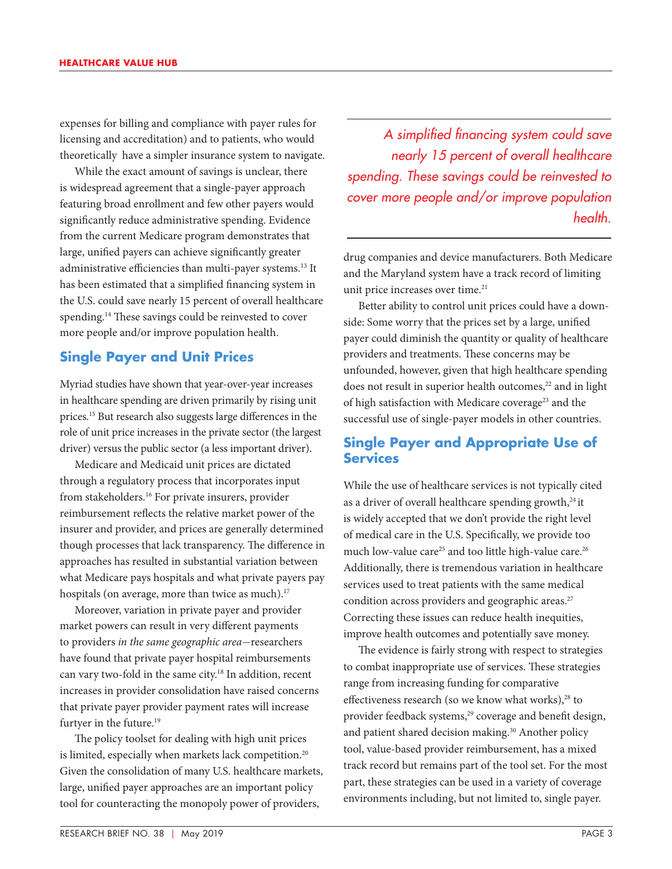expenses for billing and compliance with payer rules for licensing and accreditation) and to patients, who would theoretically have a simpler insurance system to navigate.

While the exact amount of savings is unclear, there is widespread agreement that a single-payer approach featuring broad enrollment and few other payers would significantly reduce administrative spending. Evidence from the current Medicare program demonstrates that large, unified payers can achieve significantly greater administrative efficiencies than multi-payer systems.<sup>13</sup> It has been estimated that a simplified financing system in the U.S. could save nearly 15 percent of overall healthcare spending.<sup>14</sup> These savings could be reinvested to cover more people and/or improve population health.

#### **Single Payer and Unit Prices**

Myriad studies have shown that year-over-year increases in healthcare spending are driven primarily by rising unit prices.<sup>15</sup> But research also suggests large differences in the role of unit price increases in the private sector (the largest driver) versus the public sector (a less important driver).

Medicare and Medicaid unit prices are dictated through a regulatory process that incorporates input from stakeholders.<sup>16</sup> For private insurers, provider reimbursement reflects the relative market power of the insurer and provider, and prices are generally determined though processes that lack transparency. The difference in approaches has resulted in substantial variation between what Medicare pays hospitals and what private payers pay hospitals (on average, more than twice as much).<sup>17</sup>

Moreover, variation in private payer and provider market powers can result in very different payments to providers *in the same geographic area*—researchers have found that private payer hospital reimbursements can vary two-fold in the same city.<sup>18</sup> In addition, recent increases in provider consolidation have raised concerns that private payer provider payment rates will increase furtyer in the future.<sup>19</sup>

The policy toolset for dealing with high unit prices is limited, especially when markets lack competition.<sup>20</sup> Given the consolidation of many U.S. healthcare markets, large, unified payer approaches are an important policy tool for counteracting the monopoly power of providers,

*A simplified financing system could save nearly 15 percent of overall healthcare spending. These savings could be reinvested to cover more people and/or improve population health.*

drug companies and device manufacturers. Both Medicare and the Maryland system have a track record of limiting unit price increases over time.<sup>21</sup>

Better ability to control unit prices could have a downside: Some worry that the prices set by a large, unified payer could diminish the quantity or quality of healthcare providers and treatments. These concerns may be unfounded, however, given that high healthcare spending does not result in superior health outcomes,<sup>22</sup> and in light of high satisfaction with Medicare coverage<sup>23</sup> and the successful use of single-payer models in other countries.

## **Single Payer and Appropriate Use of Services**

While the use of healthcare services is not typically cited as a driver of overall healthcare spending growth,<sup>24</sup> it is widely accepted that we don't provide the right level of medical care in the U.S. Specifically, we provide too much low-value care<sup>25</sup> and too little high-value care.<sup>26</sup> Additionally, there is tremendous variation in healthcare services used to treat patients with the same medical condition across providers and geographic areas.<sup>27</sup> Correcting these issues can reduce health inequities, improve health outcomes and potentially save money.

The evidence is fairly strong with respect to strategies to combat inappropriate use of services. These strategies range from increasing funding for comparative effectiveness research (so we know what works),<sup>28</sup> to provider feedback systems,<sup>29</sup> coverage and benefit design, and patient shared decision making.<sup>30</sup> Another policy tool, value-based provider reimbursement, has a mixed track record but remains part of the tool set. For the most part, these strategies can be used in a variety of coverage environments including, but not limited to, single payer.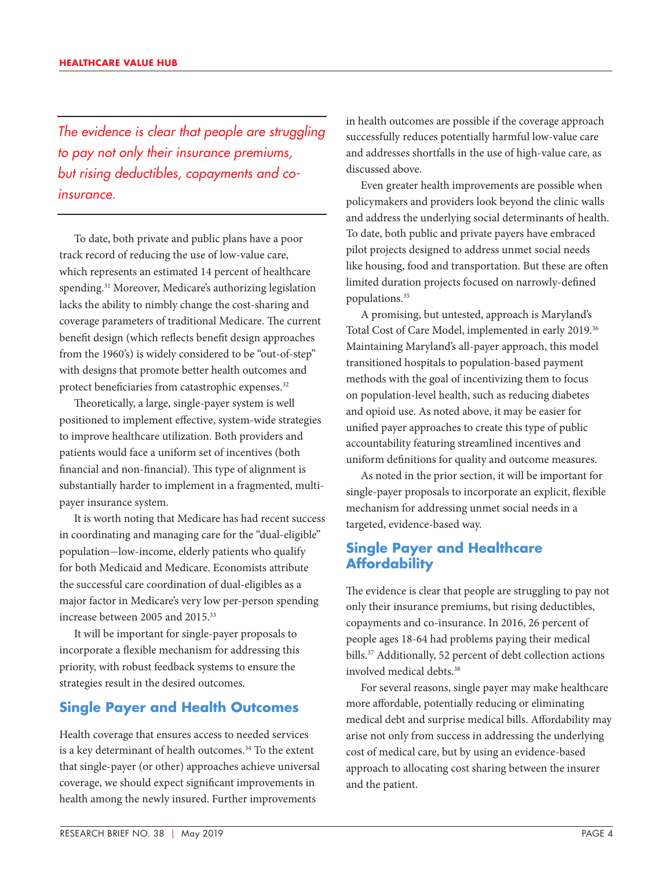*The evidence is clear that people are struggling to pay not only their insurance premiums, but rising deductibles, copayments and coinsurance.*

To date, both private and public plans have a poor track record of reducing the use of low-value care, which represents an estimated 14 percent of healthcare spending.<sup>31</sup> Moreover, Medicare's authorizing legislation lacks the ability to nimbly change the cost-sharing and coverage parameters of traditional Medicare. The current benefit design (which reflects benefit design approaches from the 1960's) is widely considered to be "out-of-step" with designs that promote better health outcomes and protect beneficiaries from catastrophic expenses.<sup>32</sup>

Theoretically, a large, single-payer system is well positioned to implement effective, system-wide strategies to improve healthcare utilization. Both providers and patients would face a uniform set of incentives (both financial and non-financial). This type of alignment is substantially harder to implement in a fragmented, multipayer insurance system.

It is worth noting that Medicare has had recent success in coordinating and managing care for the "dual-eligible" population—low-income, elderly patients who qualify for both Medicaid and Medicare. Economists attribute the successful care coordination of dual-eligibles as a major factor in Medicare's very low per-person spending increase between 2005 and 2015.33

It will be important for single-payer proposals to incorporate a flexible mechanism for addressing this priority, with robust feedback systems to ensure the strategies result in the desired outcomes.

#### **Single Payer and Health Outcomes**

Health coverage that ensures access to needed services is a key determinant of health outcomes.<sup>34</sup> To the extent that single-payer (or other) approaches achieve universal coverage, we should expect significant improvements in health among the newly insured. Further improvements

in health outcomes are possible if the coverage approach successfully reduces potentially harmful low-value care and addresses shortfalls in the use of high-value care, as discussed above.

Even greater health improvements are possible when policymakers and providers look beyond the clinic walls and address the underlying social determinants of health. To date, both public and private payers have embraced pilot projects designed to address unmet social needs like housing, food and transportation. But these are often limited duration projects focused on narrowly-defined populations.35

A promising, but untested, approach is Maryland's Total Cost of Care Model, implemented in early 2019.36 Maintaining Maryland's all-payer approach, this model transitioned hospitals to population-based payment methods with the goal of incentivizing them to focus on population-level health, such as reducing diabetes and opioid use. As noted above, it may be easier for unified payer approaches to create this type of public accountability featuring streamlined incentives and uniform definitions for quality and outcome measures.

As noted in the prior section, it will be important for single-payer proposals to incorporate an explicit, flexible mechanism for addressing unmet social needs in a targeted, evidence-based way.

## **Single Payer and Healthcare Affordability**

The evidence is clear that people are struggling to pay not only their insurance premiums, but rising deductibles, copayments and co-insurance. In 2016, 26 percent of people ages 18-64 had problems paying their medical bills.37 Additionally, 52 percent of debt collection actions involved medical debts.<sup>38</sup>

For several reasons, single payer may make healthcare more affordable, potentially reducing or eliminating medical debt and surprise medical bills. Affordability may arise not only from success in addressing the underlying cost of medical care, but by using an evidence-based approach to allocating cost sharing between the insurer and the patient.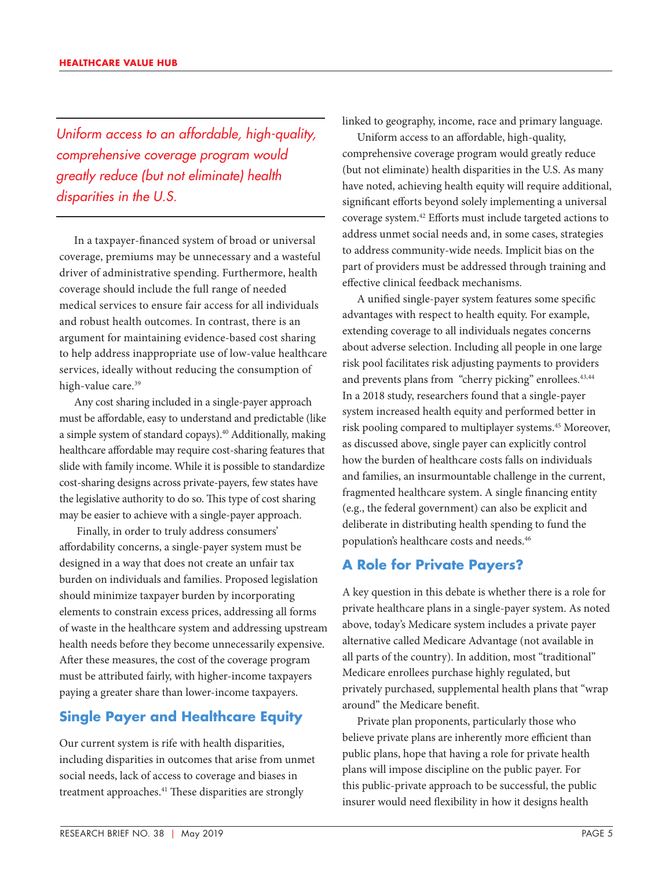*Uniform access to an affordable, high-quality, comprehensive coverage program would greatly reduce (but not eliminate) health disparities in the U.S.*

In a taxpayer-financed system of broad or universal coverage, premiums may be unnecessary and a wasteful driver of administrative spending. Furthermore, health coverage should include the full range of needed medical services to ensure fair access for all individuals and robust health outcomes. In contrast, there is an argument for maintaining evidence-based cost sharing to help address inappropriate use of low-value healthcare services, ideally without reducing the consumption of high-value care.<sup>39</sup>

Any cost sharing included in a single-payer approach must be affordable, easy to understand and predictable (like a simple system of standard copays).<sup>40</sup> Additionally, making healthcare affordable may require cost-sharing features that slide with family income. While it is possible to standardize cost-sharing designs across private-payers, few states have the legislative authority to do so. This type of cost sharing may be easier to achieve with a single-payer approach.

 Finally, in order to truly address consumers' affordability concerns, a single-payer system must be designed in a way that does not create an unfair tax burden on individuals and families. Proposed legislation should minimize taxpayer burden by incorporating elements to constrain excess prices, addressing all forms of waste in the healthcare system and addressing upstream health needs before they become unnecessarily expensive. After these measures, the cost of the coverage program must be attributed fairly, with higher-income taxpayers paying a greater share than lower-income taxpayers.

## **Single Payer and Healthcare Equity**

Our current system is rife with health disparities, including disparities in outcomes that arise from unmet social needs, lack of access to coverage and biases in treatment approaches.<sup>41</sup> These disparities are strongly

linked to geography, income, race and primary language.

Uniform access to an affordable, high-quality, comprehensive coverage program would greatly reduce (but not eliminate) health disparities in the U.S. As many have noted, achieving health equity will require additional, significant efforts beyond solely implementing a universal coverage system.42 Efforts must include targeted actions to address unmet social needs and, in some cases, strategies to address community-wide needs. Implicit bias on the part of providers must be addressed through training and effective clinical feedback mechanisms.

A unified single-payer system features some specific advantages with respect to health equity. For example, extending coverage to all individuals negates concerns about adverse selection. Including all people in one large risk pool facilitates risk adjusting payments to providers and prevents plans from "cherry picking" enrollees.<sup>43,44</sup> In a 2018 study, researchers found that a single-payer system increased health equity and performed better in risk pooling compared to multiplayer systems.<sup>45</sup> Moreover, as discussed above, single payer can explicitly control how the burden of healthcare costs falls on individuals and families, an insurmountable challenge in the current, fragmented healthcare system. A single financing entity (e.g., the federal government) can also be explicit and deliberate in distributing health spending to fund the population's healthcare costs and needs.46

#### **A Role for Private Payers?**

A key question in this debate is whether there is a role for private healthcare plans in a single-payer system. As noted above, today's Medicare system includes a private payer alternative called Medicare Advantage (not available in all parts of the country). In addition, most "traditional" Medicare enrollees purchase highly regulated, but privately purchased, supplemental health plans that "wrap around" the Medicare benefit.

Private plan proponents, particularly those who believe private plans are inherently more efficient than public plans, hope that having a role for private health plans will impose discipline on the public payer. For this public-private approach to be successful, the public insurer would need flexibility in how it designs health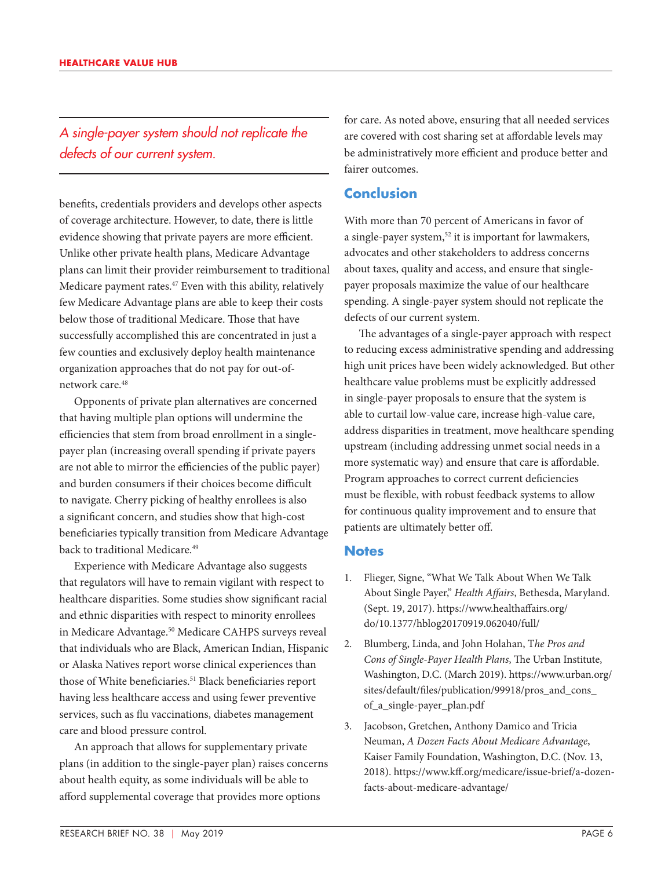*A single-payer system should not replicate the defects of our current system.*

benefits, credentials providers and develops other aspects of coverage architecture. However, to date, there is little evidence showing that private payers are more efficient. Unlike other private health plans, Medicare Advantage plans can limit their provider reimbursement to traditional Medicare payment rates. $47$  Even with this ability, relatively few Medicare Advantage plans are able to keep their costs below those of traditional Medicare. Those that have successfully accomplished this are concentrated in just a few counties and exclusively deploy health maintenance organization approaches that do not pay for out-ofnetwork care.<sup>48</sup>

Opponents of private plan alternatives are concerned that having multiple plan options will undermine the efficiencies that stem from broad enrollment in a singlepayer plan (increasing overall spending if private payers are not able to mirror the efficiencies of the public payer) and burden consumers if their choices become difficult to navigate. Cherry picking of healthy enrollees is also a significant concern, and studies show that high-cost beneficiaries typically transition from Medicare Advantage back to traditional Medicare.<sup>49</sup>

Experience with Medicare Advantage also suggests that regulators will have to remain vigilant with respect to healthcare disparities. Some studies show significant racial and ethnic disparities with respect to minority enrollees in Medicare Advantage.<sup>50</sup> Medicare CAHPS surveys reveal that individuals who are Black, American Indian, Hispanic or Alaska Natives report worse clinical experiences than those of White beneficiaries.<sup>51</sup> Black beneficiaries report having less healthcare access and using fewer preventive services, such as flu vaccinations, diabetes management care and blood pressure control.

An approach that allows for supplementary private plans (in addition to the single-payer plan) raises concerns about health equity, as some individuals will be able to afford supplemental coverage that provides more options

for care. As noted above, ensuring that all needed services are covered with cost sharing set at affordable levels may be administratively more efficient and produce better and fairer outcomes.

### **Conclusion**

With more than 70 percent of Americans in favor of a single-payer system,<sup>52</sup> it is important for lawmakers, advocates and other stakeholders to address concerns about taxes, quality and access, and ensure that singlepayer proposals maximize the value of our healthcare spending. A single-payer system should not replicate the defects of our current system.

The advantages of a single-payer approach with respect to reducing excess administrative spending and addressing high unit prices have been widely acknowledged. But other healthcare value problems must be explicitly addressed in single-payer proposals to ensure that the system is able to curtail low-value care, increase high-value care, address disparities in treatment, move healthcare spending upstream (including addressing unmet social needs in a more systematic way) and ensure that care is affordable. Program approaches to correct current deficiencies must be flexible, with robust feedback systems to allow for continuous quality improvement and to ensure that patients are ultimately better off.

#### **Notes**

- 1. Flieger, Signe, "What We Talk About When We Talk About Single Payer," *Health Affairs*, Bethesda, Maryland. (Sept. 19, 2017). [https://www.healthaffairs.org/](https://www.healthaffairs.org/do/10.1377/hblog20170919.062040/full/) [do/10.1377/hblog20170919.062040/full/](https://www.healthaffairs.org/do/10.1377/hblog20170919.062040/full/)
- 2. Blumberg, Linda, and John Holahan, T*he Pros and Cons of Single-Payer Health Plans*, The Urban Institute, Washington, D.C. (March 2019). [https://www.urban.org/](https://www.urban.org/sites/default/files/publication/99918/pros_and_cons_of_a_single-payer_plan.pdf) [sites/default/files/publication/99918/pros\\_and\\_cons\\_](https://www.urban.org/sites/default/files/publication/99918/pros_and_cons_of_a_single-payer_plan.pdf) [of\\_a\\_single-payer\\_plan.pdf](https://www.urban.org/sites/default/files/publication/99918/pros_and_cons_of_a_single-payer_plan.pdf)
- 3. Jacobson, Gretchen, Anthony Damico and Tricia Neuman, *A Dozen Facts About Medicare Advantage*, Kaiser Family Foundation, Washington, D.C. (Nov. 13, 2018). https://www.kff.org/medicare/issue-brief/a-dozenfacts-about-medicare-advantage/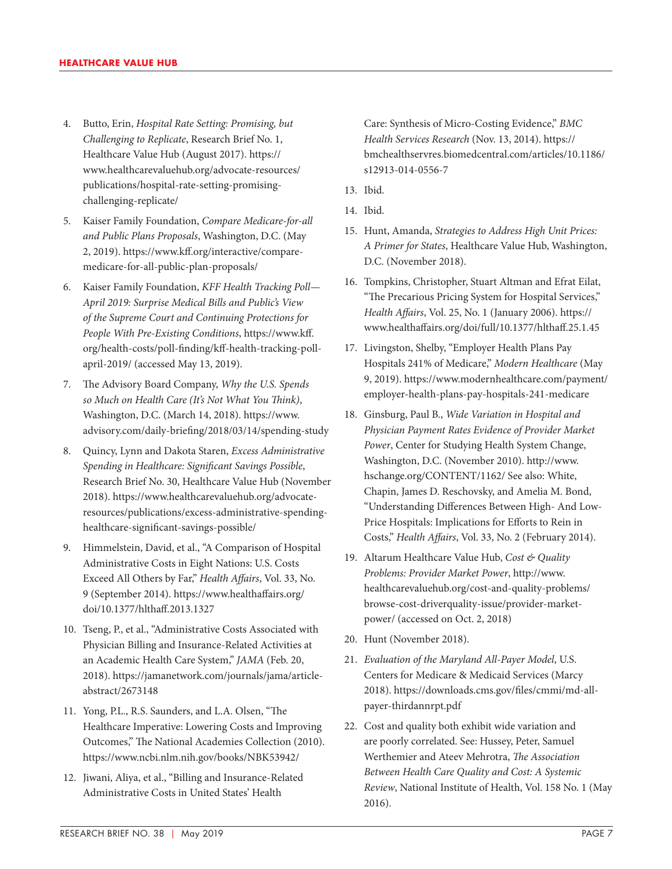- 4. Butto, Erin, *Hospital Rate Setting: Promising, but Challenging to Replicate*, Research Brief No. 1, Healthcare Value Hub (August 2017). [https://](https://www.healthcarevaluehub.org/advocate-resources/publications/hospital-rate-setting-promising-challenging-replicate/) [www.healthcarevaluehub.org/advocate-resources/](https://www.healthcarevaluehub.org/advocate-resources/publications/hospital-rate-setting-promising-challenging-replicate/) [publications/hospital-rate-setting-promising](https://www.healthcarevaluehub.org/advocate-resources/publications/hospital-rate-setting-promising-challenging-replicate/)[challenging-replicate/](https://www.healthcarevaluehub.org/advocate-resources/publications/hospital-rate-setting-promising-challenging-replicate/)
- 5. Kaiser Family Foundation, *Compare Medicare-for-all and Public Plans Proposals*, Washington, D.C. (May 2, 2019). [https://www.kff.org/interactive/compare](https://www.kff.org/interactive/compare-medicare-for-all-public-plan-proposals/)[medicare-for-all-public-plan-proposals/](https://www.kff.org/interactive/compare-medicare-for-all-public-plan-proposals/)
- 6. Kaiser Family Foundation, *KFF Health Tracking Poll— April 2019: Surprise Medical Bills and Public's View of the Supreme Court and Continuing Protections for People With Pre-Existing Conditions*, [https://www.kff.](https://www.kff.org/health-costs/poll-finding/kff-health-tracking-poll-april-2019/) [org/health-costs/poll-finding/kff-health-tracking-poll](https://www.kff.org/health-costs/poll-finding/kff-health-tracking-poll-april-2019/)[april-2019/](https://www.kff.org/health-costs/poll-finding/kff-health-tracking-poll-april-2019/) (accessed May 13, 2019).
- 7. The Advisory Board Company, *Why the U.S. Spends so Much on Health Care (It's Not What You Think)*, Washington, D.C. (March 14, 2018). [https://www.](https://www.advisory.com/daily-briefing/2018/03/14/spending-study) [advisory.com/daily-briefing/2018/03/14/spending-study](https://www.advisory.com/daily-briefing/2018/03/14/spending-study)
- 8. Quincy, Lynn and Dakota Staren, *Excess Administrative Spending in Healthcare: Significant Savings Possible*, Research Brief No. 30, Healthcare Value Hub (November 2018). [https://www.healthcarevaluehub.org/advocate](https://www.healthcarevaluehub.org/advocate-resources/publications/excess-administrative-spending-he)[resources/publications/excess-administrative-spending](https://www.healthcarevaluehub.org/advocate-resources/publications/excess-administrative-spending-he)[healthcare-significant-savings-possible/](https://www.healthcarevaluehub.org/advocate-resources/publications/excess-administrative-spending-he)
- 9. Himmelstein, David, et al., "A Comparison of Hospital Administrative Costs in Eight Nations: U.S. Costs Exceed All Others by Far," *Health Affairs*, Vol. 33, No. 9 (September 2014). https://www.healthaffairs.org/ doi/10.1377/hlthaff.2013.1327
- 10. Tseng, P., et al., "Administrative Costs Associated with Physician Billing and Insurance-Related Activities at an Academic Health Care System," *JAMA* (Feb. 20, 2018). [https://jamanetwork.com/journals/jama/article](https://jamanetwork.com/journals/jama/article-abstract/2673148)[abstract/2673148](https://jamanetwork.com/journals/jama/article-abstract/2673148)
- 11. Yong, P.L., R.S. Saunders, and L.A. Olsen, "The Healthcare Imperative: Lowering Costs and Improving Outcomes," The National Academies Collection (2010). <https://www.ncbi.nlm.nih.gov/books/NBK53942/>
- 12. Jiwani, Aliya, et al., "Billing and Insurance-Related Administrative Costs in United States' Health

Care: Synthesis of Micro-Costing Evidence," *BMC Health Services Research* (Nov. 13, 2014). [https://](https://bmchealthservres.biomedcentral.com/articles/10.1186/s12913-014-0556-7) [bmchealthservres.biomedcentral.com/articles/10.1186/](https://bmchealthservres.biomedcentral.com/articles/10.1186/s12913-014-0556-7) [s12913-014-0556-7](https://bmchealthservres.biomedcentral.com/articles/10.1186/s12913-014-0556-7)

- 13. Ibid.
- 14. Ibid.
- 15. Hunt, Amanda, *Strategies to Address High Unit Prices: A Primer for States*, Healthcare Value Hub, Washington, D.C. (November 2018).
- 16. Tompkins, Christopher, Stuart Altman and Efrat Eilat, "The Precarious Pricing System for Hospital Services," *Health Affairs*, Vol. 25, No. 1 (January 2006). https:// [www.healthaffairs.org/doi/full/10.1377/hlthaff.25.1.45](http://www.healthaffairs.org/doi/full/10.1377/hlthaff.25.1.45)
- 17. Livingston, Shelby, "Employer Health Plans Pay Hospitals 241% of Medicare," *Modern Healthcare* (May 9, 2019). https://www.modernhealthcare.com/payment/ employer-health-plans-pay-hospitals-241-medicare
- 18. Ginsburg, Paul B., *Wide Variation in Hospital and Physician Payment Rates Evidence of Provider Market Power*, Center for Studying Health System Change, Washington, D.C. (November 2010). [http://www.](http://www.hschange.org/CONTENT/1162/) [hschange.org/CONTENT/1162/](http://www.hschange.org/CONTENT/1162/) See also: White, Chapin, James D. Reschovsky, and Amelia M. Bond, "Understanding Differences Between High- And Low-Price Hospitals: Implications for Efforts to Rein in Costs," *Health Affairs*, Vol. 33, No. 2 (February 2014).
- 19. Altarum Healthcare Value Hub, *Cost & Quality Problems: Provider Market Power*, [http://www.](http://www.healthcarevaluehub.org/cost-and-quality-problems/browse-cost-driverquality-issue/provider-market-power/) [healthcarevaluehub.org/cost-and-quality-problems/](http://www.healthcarevaluehub.org/cost-and-quality-problems/browse-cost-driverquality-issue/provider-market-power/) [browse-cost-driverquality-issue/provider-market](http://www.healthcarevaluehub.org/cost-and-quality-problems/browse-cost-driverquality-issue/provider-market-power/)[power/](http://www.healthcarevaluehub.org/cost-and-quality-problems/browse-cost-driverquality-issue/provider-market-power/) (accessed on Oct. 2, 2018)
- 20. Hunt (November 2018).
- 21. *Evaluation of the Maryland All-Payer Model*, U.S. Centers for Medicare & Medicaid Services (Marcy 2018). [https://downloads.cms.gov/files/cmmi/md-all](https://downloads.cms.gov/files/cmmi/md-all-payer-thirdannrpt.pdf)[payer-thirdannrpt.pdf](https://downloads.cms.gov/files/cmmi/md-all-payer-thirdannrpt.pdf)
- 22. Cost and quality both exhibit wide variation and are poorly correlated. See: Hussey, Peter, Samuel Werthemier and Ateev Mehrotra, *The Association Between Health Care Quality and Cost: A Systemic Review*, National Institute of Health, Vol. 158 No. 1 (May 2016).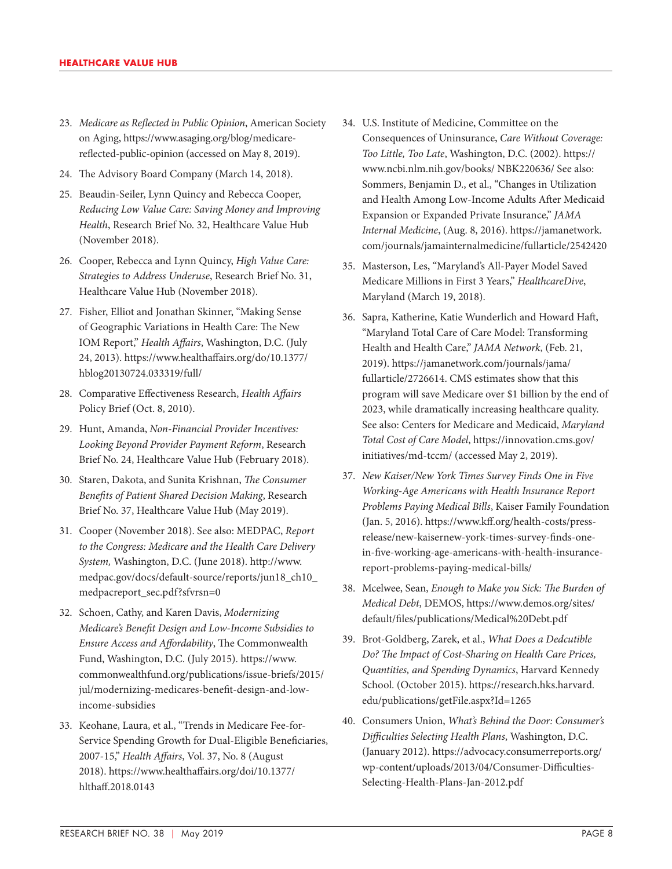- 23. *Medicare as Reflected in Public Opinion*, American Society on Aging, [https://www.asaging.org/blog/medicare](https://www.asaging.org/blog/medicare-reflected-public-opinion)[reflected-public-opinion](https://www.asaging.org/blog/medicare-reflected-public-opinion) (accessed on May 8, 2019).
- 24. The Advisory Board Company (March 14, 2018).
- 25. Beaudin-Seiler, Lynn Quincy and Rebecca Cooper, *Reducing Low Value Care: Saving Money and Improving Health*, Research Brief No. 32, Healthcare Value Hub (November 2018).
- 26. Cooper, Rebecca and Lynn Quincy, *High Value Care: Strategies to Address Underuse*, Research Brief No. 31, Healthcare Value Hub (November 2018).
- 27. Fisher, Elliot and Jonathan Skinner, "Making Sense of Geographic Variations in Health Care: The New IOM Report," *Health Affairs*, Washington, D.C. (July 24, 2013). [https://www.healthaffairs.org/do/10.1377/](https://www.healthaffairs.org/do/10.1377/hblog20130724.033319/full/) [hblog20130724.033319/full/](https://www.healthaffairs.org/do/10.1377/hblog20130724.033319/full/)
- 28. Comparative Effectiveness Research, *Health Affairs* Policy Brief (Oct. 8, 2010).
- 29. Hunt, Amanda, *Non-Financial Provider Incentives: Looking Beyond Provider Payment Reform*, Research Brief No. 24, Healthcare Value Hub (February 2018).
- 30. Staren, Dakota, and Sunita Krishnan, *The Consumer Benefits of Patient Shared Decision Making*, Research Brief No. 37, Healthcare Value Hub (May 2019).
- 31. Cooper (November 2018). See also: MEDPAC, *Report to the Congress: Medicare and the Health Care Delivery System,* Washington, D.C. (June 2018). [http://www.](http://www.medpac.gov/docs/default-source/reports/jun18_ch10_medpacreport_sec.pdf?sfvrsn=0) [medpac.gov/docs/default-source/reports/jun18\\_ch10\\_](http://www.medpac.gov/docs/default-source/reports/jun18_ch10_medpacreport_sec.pdf?sfvrsn=0) [medpacreport\\_sec.pdf?sfvrsn=0](http://www.medpac.gov/docs/default-source/reports/jun18_ch10_medpacreport_sec.pdf?sfvrsn=0)
- 32. Schoen, Cathy, and Karen Davis, *Modernizing Medicare's Benefit Design and Low-Income Subsidies to Ensure Access and Affordability*, The Commonwealth Fund, Washington, D.C. (July 2015). [https://www.](https://www.commonwealthfund.org/publications/issue-briefs/2015/jul/modernizing-medicares-benefit-design-and-low-income-subsidies) [commonwealthfund.org/publications/issue-briefs/2015/](https://www.commonwealthfund.org/publications/issue-briefs/2015/jul/modernizing-medicares-benefit-design-and-low-income-subsidies) [jul/modernizing-medicares-benefit-design-and-low](https://www.commonwealthfund.org/publications/issue-briefs/2015/jul/modernizing-medicares-benefit-design-and-low-income-subsidies)[income-subsidies](https://www.commonwealthfund.org/publications/issue-briefs/2015/jul/modernizing-medicares-benefit-design-and-low-income-subsidies)
- 33. Keohane, Laura, et al., "Trends in Medicare Fee-for-Service Spending Growth for Dual-Eligible Beneficiaries, 2007-15," *Health Affairs*, Vol. 37, No. 8 (August 2018). [https://www.healthaffairs.org/doi/10.1377/](https://www.healthaffairs.org/doi/10.1377/hlthaff.2018.0143) [hlthaff.2018.0143](https://www.healthaffairs.org/doi/10.1377/hlthaff.2018.0143)
- 34. U.S. Institute of Medicine, Committee on the Consequences of Uninsurance, *Care Without Coverage: Too Little, Too Late*, Washington, D.C. (2002). [https://](https://www.ncbi.nlm.nih.gov/books/ NBK220636/) [www.ncbi.nlm.nih.gov/books/ NBK220636/](https://www.ncbi.nlm.nih.gov/books/ NBK220636/) See also: Sommers, Benjamin D., et al., "Changes in Utilization and Health Among Low-Income Adults After Medicaid Expansion or Expanded Private Insurance," *JAMA Internal Medicine*, (Aug. 8, 2016). [https://jamanetwork.](https://jamanetwork.com/journals/jamainternalmedicine/fullarticle/2542420) [com/journals/jamainternalmedicine/fullarticle/2542420](https://jamanetwork.com/journals/jamainternalmedicine/fullarticle/2542420)
- 35. Masterson, Les, "Maryland's All-Payer Model Saved Medicare Millions in First 3 Years," *HealthcareDive*, Maryland (March 19, 2018).
- 36. Sapra, Katherine, Katie Wunderlich and Howard Haft, "Maryland Total Care of Care Model: Transforming Health and Health Care," *JAMA Network*, (Feb. 21, 2019). [https://jamanetwork.com/journals/jama/](https://jamanetwork.com/journals/jama/fullarticle/2726614) [fullarticle/2726614](https://jamanetwork.com/journals/jama/fullarticle/2726614). CMS estimates show that this program will save Medicare over \$1 billion by the end of 2023, while dramatically increasing healthcare quality. See also: Centers for Medicare and Medicaid, *Maryland Total Cost of Care Model*, [https://innovation.cms.gov/](https://innovation.cms.gov/initiatives/md-tccm/) [initiatives/md-tccm/](https://innovation.cms.gov/initiatives/md-tccm/) (accessed May 2, 2019).
- 37. *New Kaiser/New York Times Survey Finds One in Five Working-Age Americans with Health Insurance Report Problems Paying Medical Bills*, Kaiser Family Foundation (Jan. 5, 2016). [https://www.kff.org/health-costs/press](https://www.kff.org/health-costs/press-release/new-kaisernew-york-times-survey-finds-one-in-five-working-age-americans-with-health-insurance-report-problems-paying-medical-bills/)[release/new-kaisernew-york-times-survey-finds-one](https://www.kff.org/health-costs/press-release/new-kaisernew-york-times-survey-finds-one-in-five-working-age-americans-with-health-insurance-report-problems-paying-medical-bills/)[in-five-working-age-americans-with-health-insurance](https://www.kff.org/health-costs/press-release/new-kaisernew-york-times-survey-finds-one-in-five-working-age-americans-with-health-insurance-report-problems-paying-medical-bills/)[report-problems-paying-medical-bills/](https://www.kff.org/health-costs/press-release/new-kaisernew-york-times-survey-finds-one-in-five-working-age-americans-with-health-insurance-report-problems-paying-medical-bills/)
- 38. Mcelwee, Sean, *Enough to Make you Sick: The Burden of Medical Debt*, DEMOS, [https://www.demos.org/sites/](https://www.demos.org/sites/default/files/publications/Medical%20Debt.pdf) [default/files/publications/Medical%20Debt.pdf](https://www.demos.org/sites/default/files/publications/Medical%20Debt.pdf)
- 39. Brot-Goldberg, Zarek, et al., *What Does a Dedcutible Do? The Impact of Cost-Sharing on Health Care Prices, Quantities, and Spending Dynamics*, Harvard Kennedy School. (October 2015). [https://research.hks.harvard.](https://research.hks.harvard.edu/publications/getFile.aspx?Id=1265) [edu/publications/getFile.aspx?Id=1265](https://research.hks.harvard.edu/publications/getFile.aspx?Id=1265)
- 40. Consumers Union, *What's Behind the Door: Consumer's Difficulties Selecting Health Plans*, Washington, D.C. (January 2012). [https://advocacy.consumerreports.org/](https://advocacy.consumerreports.org/wp-content/uploads/2013/04/Consumer-Difficulties-Selecting-Health-Plans-Jan-2012.pdf) [wp-content/uploads/2013/04/Consumer-Difficulties-](https://advocacy.consumerreports.org/wp-content/uploads/2013/04/Consumer-Difficulties-Selecting-Health-Plans-Jan-2012.pdf)[Selecting-Health-Plans-Jan-2012.pdf](https://advocacy.consumerreports.org/wp-content/uploads/2013/04/Consumer-Difficulties-Selecting-Health-Plans-Jan-2012.pdf)